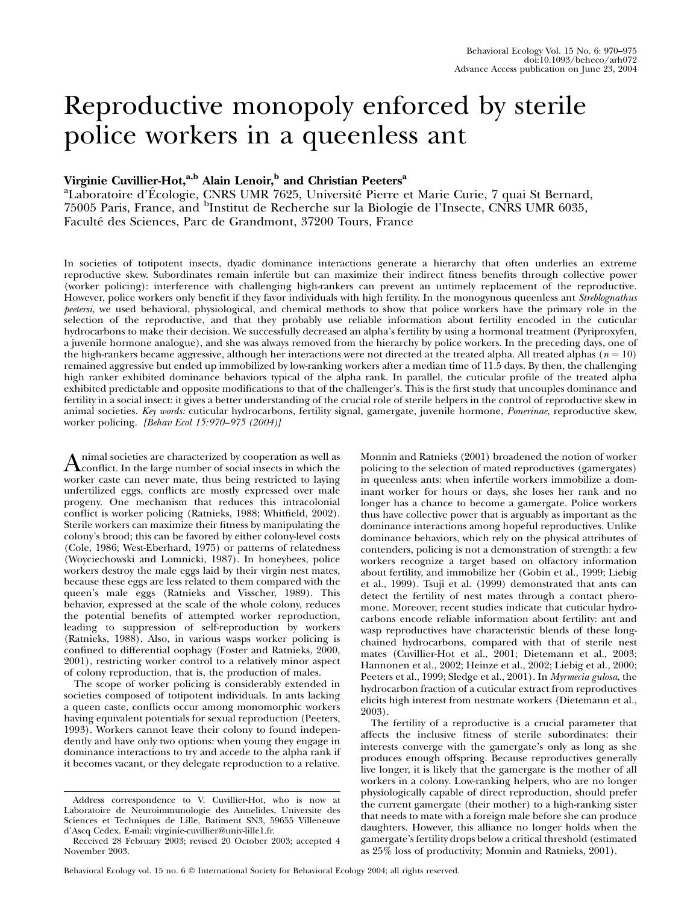# Reproductive monopoly enforced by sterile police workers in a queenless ant

# Virginie Cuvillier-Hot,<sup>a,b</sup> Alain Lenoir,<sup>b</sup> and Christian Peeters<sup>a</sup>

<sup>a</sup>Laboratoire d'Écologie, CNRS UMR 7625, Université Pierre et Marie Curie, 7 quai St Bernard, 75005 Paris, France, and <sup>b</sup>Institut de Recherche sur la Biologie de l'Insecte, CNRS UMR 6035, Faculté des Sciences, Parc de Grandmont, 37200 Tours, France

In societies of totipotent insects, dyadic dominance interactions generate a hierarchy that often underlies an extreme reproductive skew. Subordinates remain infertile but can maximize their indirect fitness benefits through collective power (worker policing): interference with challenging high-rankers can prevent an untimely replacement of the reproductive. However, police workers only benefit if they favor individuals with high fertility. In the monogynous queenless ant Streblognathus peetersi, we used behavioral, physiological, and chemical methods to show that police workers have the primary role in the selection of the reproductive, and that they probably use reliable information about fertility encoded in the cuticular hydrocarbons to make their decision. We successfully decreased an alpha's fertility by using a hormonal treatment (Pyriproxyfen, a juvenile hormone analogue), and she was always removed from the hierarchy by police workers. In the preceding days, one of the high-rankers became aggressive, although her interactions were not directed at the treated alpha. All treated alphas ( $n = 10$ ) remained aggressive but ended up immobilized by low-ranking workers after a median time of 11.5 days. By then, the challenging high ranker exhibited dominance behaviors typical of the alpha rank. In parallel, the cuticular profile of the treated alpha exhibited predictable and opposite modifications to that of the challenger's. This is the first study that uncouples dominance and fertility in a social insect: it gives a better understanding of the crucial role of sterile helpers in the control of reproductive skew in animal societies. Key words: cuticular hydrocarbons, fertility signal, gamergate, juvenile hormone, Ponerinae, reproductive skew, worker policing. [Behav Ecol 15:970–975 (2004)]

A nimal societies are characterized by cooperation as well as<br>conflict. In the large number of social insects in which the worker caste can never mate, thus being restricted to laying unfertilized eggs, conflicts are mostly expressed over male progeny. One mechanism that reduces this intracolonial conflict is worker policing (Ratnieks, 1988; Whitfield, 2002). Sterile workers can maximize their fitness by manipulating the colony's brood; this can be favored by either colony-level costs (Cole, 1986; West-Eberhard, 1975) or patterns of relatedness (Woyciechowski and Lomnicki, 1987). In honeybees, police workers destroy the male eggs laid by their virgin nest mates, because these eggs are less related to them compared with the queen's male eggs (Ratnieks and Visscher, 1989). This behavior, expressed at the scale of the whole colony, reduces the potential benefits of attempted worker reproduction, leading to suppression of self-reproduction by workers (Ratnieks, 1988). Also, in various wasps worker policing is confined to differential oophagy (Foster and Ratnieks, 2000, 2001), restricting worker control to a relatively minor aspect of colony reproduction, that is, the production of males.

The scope of worker policing is considerably extended in societies composed of totipotent individuals. In ants lacking a queen caste, conflicts occur among monomorphic workers having equivalent potentials for sexual reproduction (Peeters, 1993). Workers cannot leave their colony to found independently and have only two options: when young they engage in dominance interactions to try and accede to the alpha rank if it becomes vacant, or they delegate reproduction to a relative.

Monnin and Ratnieks (2001) broadened the notion of worker policing to the selection of mated reproductives (gamergates) in queenless ants: when infertile workers immobilize a dominant worker for hours or days, she loses her rank and no longer has a chance to become a gamergate. Police workers thus have collective power that is arguably as important as the dominance interactions among hopeful reproductives. Unlike dominance behaviors, which rely on the physical attributes of contenders, policing is not a demonstration of strength: a few workers recognize a target based on olfactory information about fertility, and immobilize her (Gobin et al., 1999; Liebig et al., 1999). Tsuji et al. (1999) demonstrated that ants can detect the fertility of nest mates through a contact pheromone. Moreover, recent studies indicate that cuticular hydrocarbons encode reliable information about fertility: ant and wasp reproductives have characteristic blends of these longchained hydrocarbons, compared with that of sterile nest mates (Cuvillier-Hot et al., 2001; Dietemann et al., 2003; Hannonen et al., 2002; Heinze et al., 2002; Liebig et al., 2000; Peeters et al., 1999; Sledge et al., 2001). In Myrmecia gulosa, the hydrocarbon fraction of a cuticular extract from reproductives elicits high interest from nestmate workers (Dietemann et al., 2003).

The fertility of a reproductive is a crucial parameter that affects the inclusive fitness of sterile subordinates: their interests converge with the gamergate's only as long as she produces enough offspring. Because reproductives generally live longer, it is likely that the gamergate is the mother of all workers in a colony. Low-ranking helpers, who are no longer physiologically capable of direct reproduction, should prefer the current gamergate (their mother) to a high-ranking sister that needs to mate with a foreign male before she can produce daughters. However, this alliance no longer holds when the gamergate's fertility drops below a critical threshold (estimated as 25% loss of productivity; Monnin and Ratnieks, 2001).

Behavioral Ecology vol. 15 no. 6  $\copyright$  International Society for Behavioral Ecology 2004; all rights reserved.

Address correspondence to V. Cuvillier-Hot, who is now at Laboratoire de Neuroimmunologie des Annelides, Universite des Sciences et Techniques de Lille, Batiment SN3, 59655 Villeneuve d'Ascq Cedex. E-mail: virginie-cuvillier@univ-lille1.fr.

Received 28 February 2003; revised 20 October 2003; accepted 4 November 2003.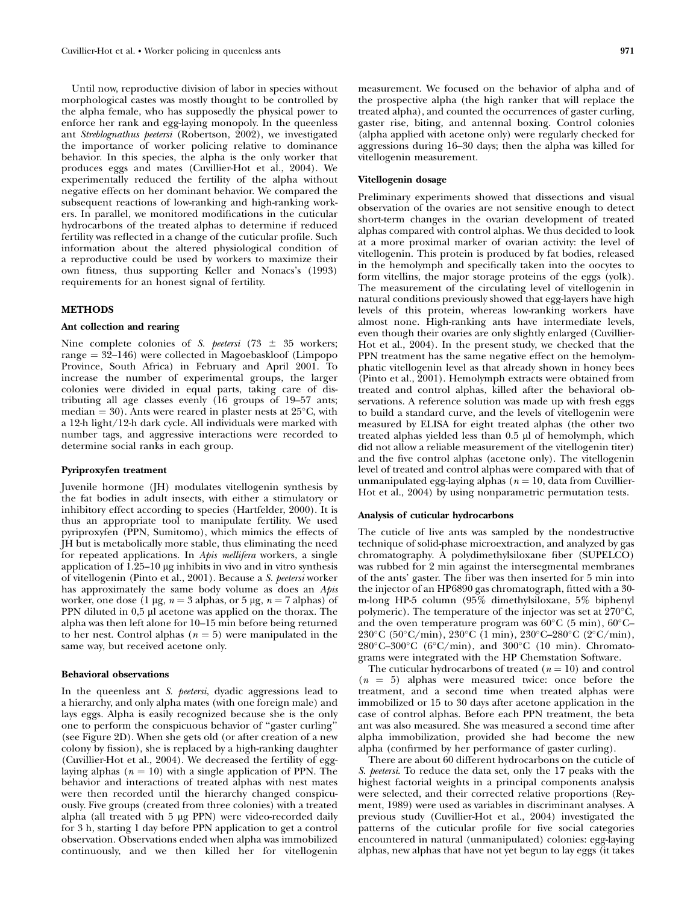Until now, reproductive division of labor in species without morphological castes was mostly thought to be controlled by the alpha female, who has supposedly the physical power to enforce her rank and egg-laying monopoly. In the queenless ant Streblognathus peetersi (Robertson, 2002), we investigated the importance of worker policing relative to dominance behavior. In this species, the alpha is the only worker that produces eggs and mates (Cuvillier-Hot et al., 2004). We experimentally reduced the fertility of the alpha without negative effects on her dominant behavior. We compared the subsequent reactions of low-ranking and high-ranking workers. In parallel, we monitored modifications in the cuticular hydrocarbons of the treated alphas to determine if reduced fertility was reflected in a change of the cuticular profile. Such information about the altered physiological condition of a reproductive could be used by workers to maximize their own fitness, thus supporting Keller and Nonacs's (1993) requirements for an honest signal of fertility.

# METHODS

#### Ant collection and rearing

Nine complete colonies of S. peetersi (73  $\pm$  35 workers; range  $= 32-146$ ) were collected in Magoebaskloof (Limpopo Province, South Africa) in February and April 2001. To increase the number of experimental groups, the larger colonies were divided in equal parts, taking care of distributing all age classes evenly (16 groups of 19–57 ants; median  $= 30$ ). Ants were reared in plaster nests at  $25^{\circ}$ C, with a 12-h light/12-h dark cycle. All individuals were marked with number tags, and aggressive interactions were recorded to determine social ranks in each group.

# Pyriproxyfen treatment

Juvenile hormone (JH) modulates vitellogenin synthesis by the fat bodies in adult insects, with either a stimulatory or inhibitory effect according to species (Hartfelder, 2000). It is thus an appropriate tool to manipulate fertility. We used pyriproxyfen (PPN, Sumitomo), which mimics the effects of JH but is metabolically more stable, thus eliminating the need for repeated applications. In Apis mellifera workers, a single application of  $1.25-10 \mu$ g inhibits in vivo and in vitro synthesis of vitellogenin (Pinto et al., 2001). Because a S. peetersi worker has approximately the same body volume as does an Apis worker, one dose (1 µg,  $n = 3$  alphas, or 5 µg,  $n = 7$  alphas) of PPN diluted in 0,5 µl acetone was applied on the thorax. The alpha was then left alone for 10–15 min before being returned to her nest. Control alphas ( $n = 5$ ) were manipulated in the same way, but received acetone only.

#### Behavioral observations

In the queenless ant S. peetersi, dyadic aggressions lead to a hierarchy, and only alpha mates (with one foreign male) and lays eggs. Alpha is easily recognized because she is the only one to perform the conspicuous behavior of ''gaster curling'' (see Figure 2D). When she gets old (or after creation of a new colony by fission), she is replaced by a high-ranking daughter (Cuvillier-Hot et al., 2004). We decreased the fertility of egglaying alphas ( $n = 10$ ) with a single application of PPN. The behavior and interactions of treated alphas with nest mates were then recorded until the hierarchy changed conspicuously. Five groups (created from three colonies) with a treated alpha (all treated with 5 µg PPN) were video-recorded daily for 3 h, starting 1 day before PPN application to get a control observation. Observations ended when alpha was immobilized continuously, and we then killed her for vitellogenin

measurement. We focused on the behavior of alpha and of the prospective alpha (the high ranker that will replace the treated alpha), and counted the occurrences of gaster curling, gaster rise, biting, and antennal boxing. Control colonies (alpha applied with acetone only) were regularly checked for aggressions during 16–30 days; then the alpha was killed for vitellogenin measurement.

# Vitellogenin dosage

Preliminary experiments showed that dissections and visual observation of the ovaries are not sensitive enough to detect short-term changes in the ovarian development of treated alphas compared with control alphas. We thus decided to look at a more proximal marker of ovarian activity: the level of vitellogenin. This protein is produced by fat bodies, released in the hemolymph and specifically taken into the oocytes to form vitellins, the major storage proteins of the eggs (yolk). The measurement of the circulating level of vitellogenin in natural conditions previously showed that egg-layers have high levels of this protein, whereas low-ranking workers have almost none. High-ranking ants have intermediate levels, even though their ovaries are only slightly enlarged (Cuvillier-Hot et al., 2004). In the present study, we checked that the PPN treatment has the same negative effect on the hemolymphatic vitellogenin level as that already shown in honey bees (Pinto et al., 2001). Hemolymph extracts were obtained from treated and control alphas, killed after the behavioral observations. A reference solution was made up with fresh eggs to build a standard curve, and the levels of vitellogenin were measured by ELISA for eight treated alphas (the other two treated alphas yielded less than 0.5 µl of hemolymph, which did not allow a reliable measurement of the vitellogenin titer) and the five control alphas (acetone only). The vitellogenin level of treated and control alphas were compared with that of unmanipulated egg-laying alphas ( $n = 10$ , data from Cuvillier-Hot et al., 2004) by using nonparametric permutation tests.

# Analysis of cuticular hydrocarbons

The cuticle of live ants was sampled by the nondestructive technique of solid-phase microextraction, and analyzed by gas chromatography. A polydimethylsiloxane fiber (SUPELCO) was rubbed for 2 min against the intersegmental membranes of the ants' gaster. The fiber was then inserted for 5 min into the injector of an HP6890 gas chromatograph, fitted with a 30 m-long HP-5 column (95% dimethylsiloxane, 5% biphenyl polymeric). The temperature of the injector was set at  $270^{\circ}$ C, and the oven temperature program was  $60^{\circ}$ C (5 min),  $60^{\circ}$ C- $230^{\circ}$ C (50 $^{\circ}$ C/min),  $230^{\circ}$ C (1 min),  $230^{\circ}$ C–280 $^{\circ}$ C (2 $^{\circ}$ C/min),  $280^{\circ}$ C–300°C (6°C/min), and 300°C (10 min). Chromatograms were integrated with the HP Chemstation Software.

The cuticular hydrocarbons of treated  $(n = 10)$  and control  $(n = 5)$  alphas were measured twice: once before the treatment, and a second time when treated alphas were immobilized or 15 to 30 days after acetone application in the case of control alphas. Before each PPN treatment, the beta ant was also measured. She was measured a second time after alpha immobilization, provided she had become the new alpha (confirmed by her performance of gaster curling).

There are about 60 different hydrocarbons on the cuticle of S. peetersi. To reduce the data set, only the 17 peaks with the highest factorial weights in a principal components analysis were selected, and their corrected relative proportions (Reyment, 1989) were used as variables in discriminant analyses. A previous study (Cuvillier-Hot et al., 2004) investigated the patterns of the cuticular profile for five social categories encountered in natural (unmanipulated) colonies: egg-laying alphas, new alphas that have not yet begun to lay eggs (it takes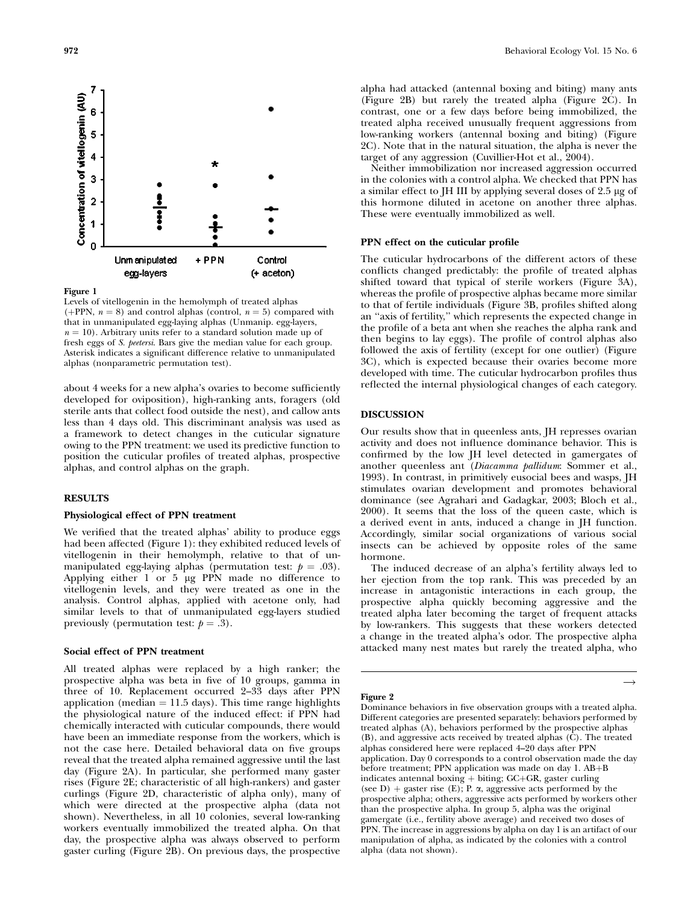

#### Figure 1

Levels of vitellogenin in the hemolymph of treated alphas (+PPN,  $n = 8$ ) and control alphas (control,  $n = 5$ ) compared with that in unmanipulated egg-laying alphas (Unmanip. egg-layers,  $n = 10$ ). Arbitrary units refer to a standard solution made up of fresh eggs of S. peetersi. Bars give the median value for each group. Asterisk indicates a significant difference relative to unmanipulated alphas (nonparametric permutation test).

about 4 weeks for a new alpha's ovaries to become sufficiently developed for oviposition), high-ranking ants, foragers (old sterile ants that collect food outside the nest), and callow ants less than 4 days old. This discriminant analysis was used as a framework to detect changes in the cuticular signature owing to the PPN treatment: we used its predictive function to position the cuticular profiles of treated alphas, prospective alphas, and control alphas on the graph.

#### RESULTS

# Physiological effect of PPN treatment

We verified that the treated alphas' ability to produce eggs had been affected (Figure 1): they exhibited reduced levels of vitellogenin in their hemolymph, relative to that of unmanipulated egg-laying alphas (permutation test:  $p = .03$ ). Applying either 1 or 5 µg PPN made no difference to vitellogenin levels, and they were treated as one in the analysis. Control alphas, applied with acetone only, had similar levels to that of unmanipulated egg-layers studied previously (permutation test:  $p = .3$ ).

# Social effect of PPN treatment

All treated alphas were replaced by a high ranker; the prospective alpha was beta in five of 10 groups, gamma in three of 10. Replacement occurred 2–33 days after PPN application (median  $= 11.5$  days). This time range highlights the physiological nature of the induced effect: if PPN had chemically interacted with cuticular compounds, there would have been an immediate response from the workers, which is not the case here. Detailed behavioral data on five groups reveal that the treated alpha remained aggressive until the last day (Figure 2A). In particular, she performed many gaster rises (Figure 2E; characteristic of all high-rankers) and gaster curlings (Figure 2D, characteristic of alpha only), many of which were directed at the prospective alpha (data not shown). Nevertheless, in all 10 colonies, several low-ranking workers eventually immobilized the treated alpha. On that day, the prospective alpha was always observed to perform gaster curling (Figure 2B). On previous days, the prospective

alpha had attacked (antennal boxing and biting) many ants (Figure 2B) but rarely the treated alpha (Figure 2C). In contrast, one or a few days before being immobilized, the treated alpha received unusually frequent aggressions from low-ranking workers (antennal boxing and biting) (Figure 2C). Note that in the natural situation, the alpha is never the target of any aggression (Cuvillier-Hot et al., 2004).

Neither immobilization nor increased aggression occurred in the colonies with a control alpha. We checked that PPN has a similar effect to JH III by applying several doses of 2.5 µg of this hormone diluted in acetone on another three alphas. These were eventually immobilized as well.

## PPN effect on the cuticular profile

The cuticular hydrocarbons of the different actors of these conflicts changed predictably: the profile of treated alphas shifted toward that typical of sterile workers (Figure 3A), whereas the profile of prospective alphas became more similar to that of fertile individuals (Figure 3B, profiles shifted along an ''axis of fertility,'' which represents the expected change in the profile of a beta ant when she reaches the alpha rank and then begins to lay eggs). The profile of control alphas also followed the axis of fertility (except for one outlier) (Figure 3C), which is expected because their ovaries become more developed with time. The cuticular hydrocarbon profiles thus reflected the internal physiological changes of each category.

# DISCUSSION

Our results show that in queenless ants, JH represses ovarian activity and does not influence dominance behavior. This is confirmed by the low JH level detected in gamergates of another queenless ant (Diacamma pallidum: Sommer et al., 1993). In contrast, in primitively eusocial bees and wasps, JH stimulates ovarian development and promotes behavioral dominance (see Agrahari and Gadagkar, 2003; Bloch et al., 2000). It seems that the loss of the queen caste, which is a derived event in ants, induced a change in JH function. Accordingly, similar social organizations of various social insects can be achieved by opposite roles of the same hormone.

The induced decrease of an alpha's fertility always led to her ejection from the top rank. This was preceded by an increase in antagonistic interactions in each group, the prospective alpha quickly becoming aggressive and the treated alpha later becoming the target of frequent attacks by low-rankers. This suggests that these workers detected a change in the treated alpha's odor. The prospective alpha attacked many nest mates but rarely the treated alpha, who

 $\rightarrow$ 

#### Figure 2

Dominance behaviors in five observation groups with a treated alpha. Different categories are presented separately: behaviors performed by treated alphas (A), behaviors performed by the prospective alphas (B), and aggressive acts received by treated alphas (C). The treated alphas considered here were replaced 4–20 days after PPN application. Day 0 corresponds to a control observation made the day before treatment; PPN application was made on day  $1.$  AB+B indicates antennal boxing  $+$  biting; GC+GR, gaster curling (see D) + gaster rise (E); P.  $\alpha$ , aggressive acts performed by the prospective alpha; others, aggressive acts performed by workers other than the prospective alpha. In group 5, alpha was the original gamergate (i.e., fertility above average) and received two doses of PPN. The increase in aggressions by alpha on day 1 is an artifact of our manipulation of alpha, as indicated by the colonies with a control alpha (data not shown).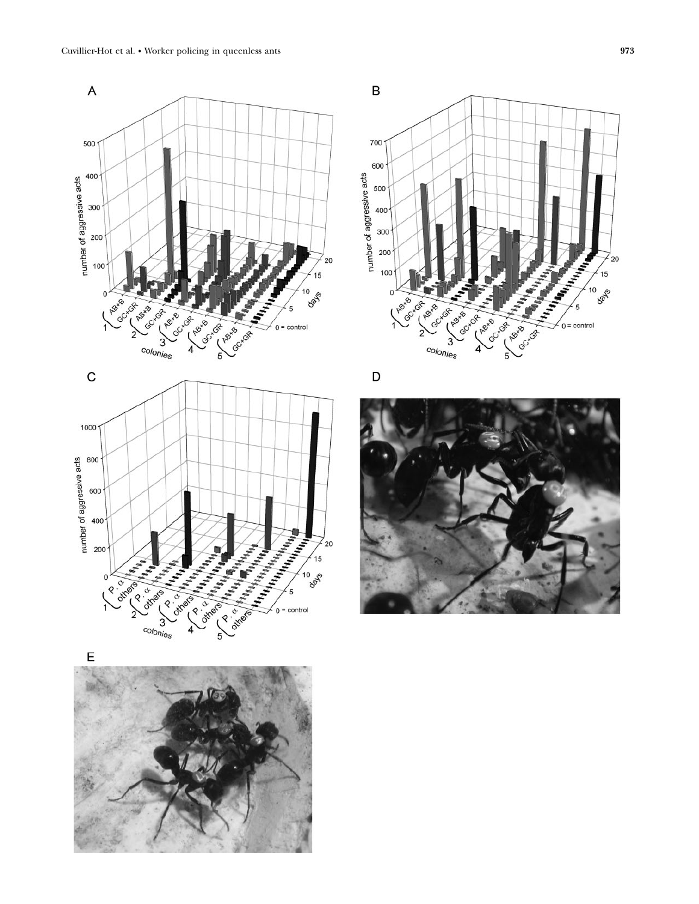

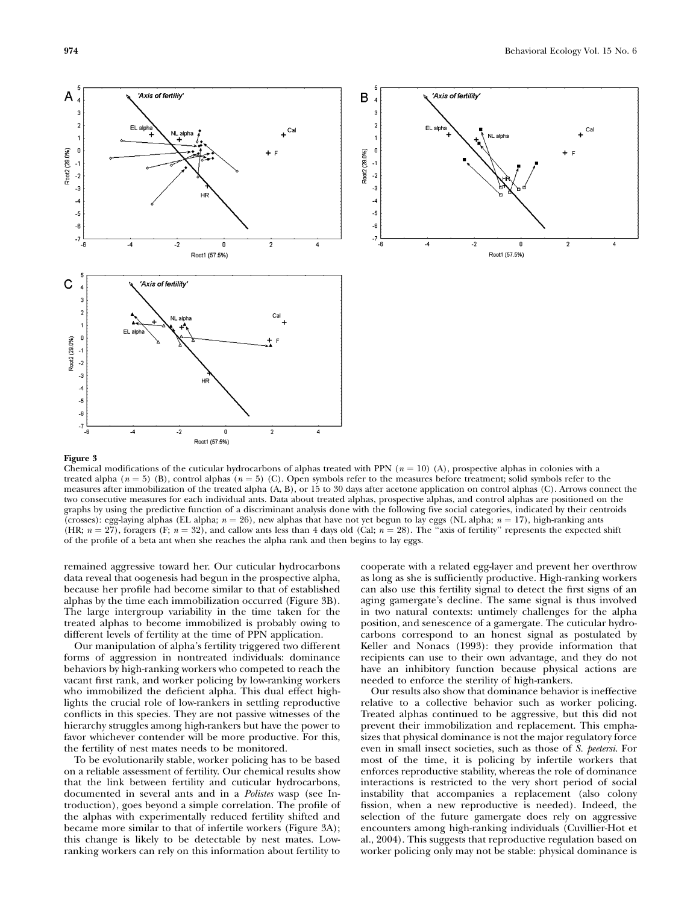

# Figure 3

Chemical modifications of the cuticular hydrocarbons of alphas treated with PPN  $(n = 10)$  (A), prospective alphas in colonies with a treated alpha  $(n = 5)$  (B), control alphas  $(n = 5)$  (C). Open symbols refer to the measures before treatment; solid symbols refer to the measures after immobilization of the treated alpha (A, B), or 15 to 30 days after acetone application on control alphas (C). Arrows connect the two consecutive measures for each individual ants. Data about treated alphas, prospective alphas, and control alphas are positioned on the graphs by using the predictive function of a discriminant analysis done with the following five social categories, indicated by their centroids (crosses): egg-laying alphas (EL alpha;  $n = 26$ ), new alphas that have not yet begun to lay eggs (NL alpha;  $n = 17$ ), high-ranking ants (HR;  $n = 27$ ), foragers (F;  $n = 32$ ), and callow ants less than 4 days old (Cal;  $n = 28$ ). The "axis of fertility" represents the expected shift of the profile of a beta ant when she reaches the alpha rank and then begins to lay eggs.

remained aggressive toward her. Our cuticular hydrocarbons data reveal that oogenesis had begun in the prospective alpha, because her profile had become similar to that of established alphas by the time each immobilization occurred (Figure 3B). The large intergroup variability in the time taken for the treated alphas to become immobilized is probably owing to different levels of fertility at the time of PPN application.

Our manipulation of alpha's fertility triggered two different forms of aggression in nontreated individuals: dominance behaviors by high-ranking workers who competed to reach the vacant first rank, and worker policing by low-ranking workers who immobilized the deficient alpha. This dual effect highlights the crucial role of low-rankers in settling reproductive conflicts in this species. They are not passive witnesses of the hierarchy struggles among high-rankers but have the power to favor whichever contender will be more productive. For this, the fertility of nest mates needs to be monitored.

To be evolutionarily stable, worker policing has to be based on a reliable assessment of fertility. Our chemical results show that the link between fertility and cuticular hydrocarbons, documented in several ants and in a Polistes wasp (see Introduction), goes beyond a simple correlation. The profile of the alphas with experimentally reduced fertility shifted and became more similar to that of infertile workers (Figure 3A); this change is likely to be detectable by nest mates. Lowranking workers can rely on this information about fertility to

cooperate with a related egg-layer and prevent her overthrow as long as she is sufficiently productive. High-ranking workers can also use this fertility signal to detect the first signs of an aging gamergate's decline. The same signal is thus involved in two natural contexts: untimely challenges for the alpha position, and senescence of a gamergate. The cuticular hydrocarbons correspond to an honest signal as postulated by Keller and Nonacs (1993): they provide information that recipients can use to their own advantage, and they do not have an inhibitory function because physical actions are needed to enforce the sterility of high-rankers.

Our results also show that dominance behavior is ineffective relative to a collective behavior such as worker policing. Treated alphas continued to be aggressive, but this did not prevent their immobilization and replacement. This emphasizes that physical dominance is not the major regulatory force even in small insect societies, such as those of S. peetersi. For most of the time, it is policing by infertile workers that enforces reproductive stability, whereas the role of dominance interactions is restricted to the very short period of social instability that accompanies a replacement (also colony fission, when a new reproductive is needed). Indeed, the selection of the future gamergate does rely on aggressive encounters among high-ranking individuals (Cuvillier-Hot et al., 2004). This suggests that reproductive regulation based on worker policing only may not be stable: physical dominance is